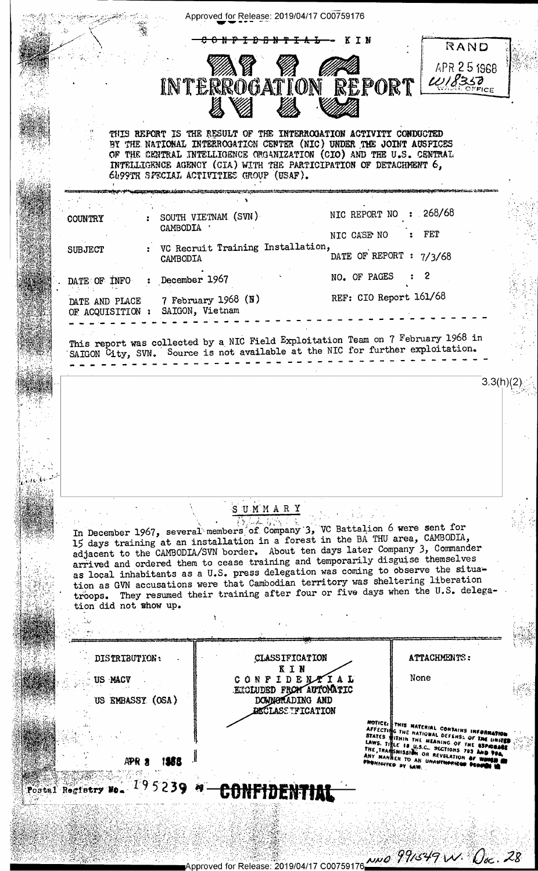|                       |                  |                 |                                                                                                                                                                      | <del>D B N T I A L</del>                   | K T N       |                         | RAND                                                                                                                                      |  |
|-----------------------|------------------|-----------------|----------------------------------------------------------------------------------------------------------------------------------------------------------------------|--------------------------------------------|-------------|-------------------------|-------------------------------------------------------------------------------------------------------------------------------------------|--|
|                       |                  |                 | MS 18                                                                                                                                                                |                                            |             |                         | APR 25 1968                                                                                                                               |  |
|                       |                  |                 | INTERROGATION REPORT WISSE                                                                                                                                           |                                            |             |                         |                                                                                                                                           |  |
|                       |                  |                 |                                                                                                                                                                      |                                            |             |                         |                                                                                                                                           |  |
|                       |                  |                 | THIS REFORT IS THE RESULT OF THE INTERROGATION ACTIVITY CONDUCTED                                                                                                    |                                            |             |                         |                                                                                                                                           |  |
|                       |                  |                 | BY THE NATIONAL INTERROGATION CENTER (NIC) UNDER THE JOINT AUSPICES                                                                                                  |                                            |             |                         |                                                                                                                                           |  |
|                       |                  |                 | OF THE CENTRAL INTELLIGENCE ORGANIZATION (CIO) AND THE U.S. CENTRAL<br>INTELLIGENCE AGENCY (CIA) WITH THE PARTICIPATION OF DETACHMENT 6,                             |                                            |             |                         |                                                                                                                                           |  |
|                       |                  |                 | 6099TH SPECIAL ACTIVITIES GROUP (USAF).                                                                                                                              |                                            |             |                         |                                                                                                                                           |  |
|                       |                  |                 |                                                                                                                                                                      |                                            |             | NIC REPORT NO : 268/68  |                                                                                                                                           |  |
| <b>COUNTRY</b>        |                  | CAMBODIA .      | SOUTH VIETNAM (SVN)                                                                                                                                                  |                                            |             |                         |                                                                                                                                           |  |
| <b>SUBJECT</b>        |                  |                 | VC Recruit Training Installation,                                                                                                                                    |                                            | NIC CASE NO |                         | FET                                                                                                                                       |  |
|                       |                  | CAMBODIA        |                                                                                                                                                                      |                                            |             | DATE OF REPORT : 7/3/68 |                                                                                                                                           |  |
| DATE OF INFO          |                  | December 1967   |                                                                                                                                                                      |                                            |             | NO. OF PAGES            |                                                                                                                                           |  |
| DATE AND PLACE        |                  | SAIGON, Vietnam | 7 February 1968 $(N)$                                                                                                                                                |                                            |             | REF: CIO Report 161/68  |                                                                                                                                           |  |
| OF ACQUISITION :      |                  |                 |                                                                                                                                                                      |                                            |             |                         |                                                                                                                                           |  |
|                       |                  |                 | This report was collected by a NIC Field Exploitation Team on 7 February 1968 in                                                                                     |                                            |             |                         |                                                                                                                                           |  |
|                       |                  |                 | SAIGON City, SVN. Source is not available at the NIC for further exploitation.                                                                                       |                                            |             |                         |                                                                                                                                           |  |
|                       |                  |                 |                                                                                                                                                                      |                                            |             |                         |                                                                                                                                           |  |
|                       |                  |                 |                                                                                                                                                                      |                                            |             |                         |                                                                                                                                           |  |
|                       |                  |                 |                                                                                                                                                                      | SUMMARY                                    |             |                         |                                                                                                                                           |  |
|                       |                  |                 | In December 1967, several members of Company 3, VC Battalion 6 were sent for                                                                                         |                                            |             |                         |                                                                                                                                           |  |
|                       |                  |                 | 15 days training at an installation in a forest in the BA THU area, CAMBODIA,<br>adjacent to the CAMBODIA/SVN border. About ten days later Company 3, Commander      |                                            |             |                         |                                                                                                                                           |  |
|                       |                  |                 | arrived and ordered them to cease training and temporarily disguise themselves<br>as local inhabitants as a U.S. press delegation was coming to observe the situa-   |                                            |             |                         |                                                                                                                                           |  |
|                       |                  |                 | tion as GVN accusations were that Cambodian territory was sheltering liberation<br>troops. They resumed their training after four or five days when the U.S. delega- |                                            |             |                         |                                                                                                                                           |  |
| tion did not show up. |                  |                 |                                                                                                                                                                      |                                            |             |                         |                                                                                                                                           |  |
|                       |                  |                 |                                                                                                                                                                      |                                            |             |                         |                                                                                                                                           |  |
|                       | DISTRIBUTION:    |                 |                                                                                                                                                                      | CLASSIFICATION                             |             |                         | ATTACHMENTS:                                                                                                                              |  |
| US MACY               |                  |                 |                                                                                                                                                                      | KIN<br>CONFIDENTIAL                        |             |                         | None                                                                                                                                      |  |
|                       | US EMBASSY (OSA) |                 |                                                                                                                                                                      | EXOLUDED FROM AUTOMATIC<br>DOWNGRADING AND |             |                         |                                                                                                                                           |  |
|                       |                  |                 |                                                                                                                                                                      | <b>DECLASS TFICATION</b>                   |             |                         |                                                                                                                                           |  |
|                       |                  |                 |                                                                                                                                                                      |                                            |             |                         | NOTICE THIS MATERIAL CONTAINS INFORT                                                                                                      |  |
|                       |                  |                 |                                                                                                                                                                      |                                            |             |                         | AFFECTING THE NATIONAL DEFENSE OF THE UNITED<br>STATES WITHIN THE MEANING OF THE ESPAGNALE<br>LAWS. TITLE 18 U.S.C., SECTIONS 793 AND 994 |  |
|                       | APR              |                 |                                                                                                                                                                      |                                            |             | PROMINITED BY LAW.      | THE TRANSMISSION OR REVELATION OF WINGE<br>ANY MANNER TO AN UNAUTHORIZED DER                                                              |  |
|                       |                  |                 | Postal Registry No. 195239 4 CONFIDENTIAL                                                                                                                            |                                            |             |                         |                                                                                                                                           |  |

Approved for Release: 2019/04/17 C00759176 1990 0999/349 W. Osc. 28